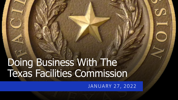# Doing Business With The Texas Facilities Commission

JANUARY 27, 2022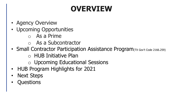# **OVERVIEW**

- Agency Overview
- Upcoming Opportunities
	- o As a Prime
	- o As a Subcontractor
- Small Contractor Participation Assistance Program(TX Gov't Code 2166.259)
	- o HUB Initiative Plan
	- o Upcoming Educational Sessions
- HUB Program Highlights for 2021
- **Next Steps**
- **Questions**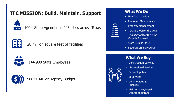## **TFC MISSION: Build. Maintain. Support**



100+ State Agencies in 243 cities across Texas



28 million square feet of facilities



144,900 State Employees



\$667+ Million Agency Budget

#### **WhatWeDo**

• New Construction

 $\prime$   $-$ 

- Remodel Maintenance
- Property Management
- Texas School for the Deaf
- Texas School for the Blind & Visually Impaired
- State Surplus Store
- Federal Surplus Program

## **What We Buy**

- Construction Services
- Professional Services
- Office Supplies
- IT Services
- Commodities & **Supplies**
- Maintenance, Repair & Operation (MRO)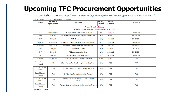## **Upcoming TFC Procurement Opportunities**

TFCSolicitationForecast: <http://www.tfc.state.tx.us/divisions/commissionadmin/prog/internal-procurement-1/>

Key: **Posted** Closed Cancelled Awarded

| <b>Facility</b>                                                                              | FY22-FY23<br>Appropriation | <b>Description</b>                                             | <b>Delivery</b><br><b>Method</b> | <b>Tentative</b><br><b>Schedule</b> | <b>RFP/RFQ#</b> |  |  |  |  |
|----------------------------------------------------------------------------------------------|----------------------------|----------------------------------------------------------------|----------------------------------|-------------------------------------|-----------------|--|--|--|--|
| Forecast is updated weekly.<br>** Changes from the previous week are indicated in Red Font** |                            |                                                                |                                  |                                     |                 |  |  |  |  |
| N/A                                                                                          | <b>Not Disclosed</b>       | John Deere Tractor, Backhoe and Skid Steer                     | <b>IFB</b>                       | 1/26/2022                           | 303-2-00999     |  |  |  |  |
| <b>JHR</b>                                                                                   | \$400,000                  | Fire Alarm Replacement and Upgrade Capcom MNS                  | <b>RFP</b>                       | 1/28/2022                           | 303-2-00904     |  |  |  |  |
| CAP                                                                                          | \$800,000                  | P3 Technical Advisors                                          | <b>RFQ</b>                       | 1/28/2022                           | 303-2-00887     |  |  |  |  |
| <b>Various</b>                                                                               | \$1,000,000                | As-Needed General Bldg. Maintenance, Austin Area               | <b>RFP</b>                       | 1/28/2022                           | 303-2-00501     |  |  |  |  |
| <b>Statewide</b>                                                                             | \$8,000,000                | A/E for TFC Statewide Deferred Maintenance                     | <b>RFQ</b>                       | 2/9/2022                            | 303-2-01027     |  |  |  |  |
| CAP                                                                                          | \$800,000                  | P3 Financial Advisors                                          | <b>RFQ</b>                       | 2/11/2022                           | 303-2-00873     |  |  |  |  |
| <b>CAP</b>                                                                                   | \$800,000                  | P3 Legal Advisory Services                                     | <b>RFQ</b>                       | 2/25/2022                           | 303-2-00892     |  |  |  |  |
| CAP                                                                                          | \$800,000                  | P3 Professional Real Estate Services                           | <b>RFP</b>                       | 3/11/2022                           | 303-2-00864     |  |  |  |  |
| <b>Statewide</b>                                                                             | \$50,000,000               | <b>CMR for TFC Statewide Deferred Maintenance</b>              | <b>CMR</b>                       | 3/11/2022                           | <b>TBD</b>      |  |  |  |  |
| <b>Capitol Complex</b><br>Phase 2                                                            | <b>TBD</b>                 | 3rd Party Review Services for Capitol Complex, Phase 2         | <b>RFQ</b>                       | <b>TBD</b>                          | <b>TBD</b>      |  |  |  |  |
| <b>Capitol Complex</b><br>Phase 2                                                            | <b>TBD</b>                 | FFE A/E Services for Capitol Complex, Phase 2                  | <b>RFQ</b>                       | <b>TBD</b>                          | <b>TBD</b>      |  |  |  |  |
| <b>Capitol Complex</b><br>Phase 2                                                            | <b>TBD</b>                 | CxA Services for Capitol Complex, Phase 2                      | <b>RFQ</b>                       | <b>TBD</b>                          | <b>TBD</b>      |  |  |  |  |
| <b>Capitol Complex</b><br>Phase 2                                                            | <b>TBD</b>                 | Construction Materials Testing for Capitol Complex,<br>Phase 2 | <b>RFQ</b>                       | <b>TBD</b>                          | <b>TBD</b>      |  |  |  |  |
| <b>Capitol Complex</b><br>Phase 2                                                            | <b>TBD</b>                 | Test and Balance Services for Capitol Complex, Phase 2         | <b>RFQ</b>                       | <b>TBD</b>                          | <b>TBD</b>      |  |  |  |  |
| <b>Updated 01/21/2022</b>                                                                    |                            |                                                                |                                  |                                     |                 |  |  |  |  |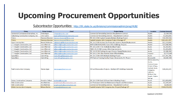# **Upcoming Procurement Opportunities**

#### Subcontractor Opportunities: <http://tfc.state.tx.us/divisions/commissionadmin/prog/HUB/>

| Prime                                                         | <b>Prime Contact</b>     | <b>Email</b>                       | <b>Project Name</b>                                             | Location                                                                                                                                                                | <b>Contract Amount</b> |
|---------------------------------------------------------------|--------------------------|------------------------------------|-----------------------------------------------------------------|-------------------------------------------------------------------------------------------------------------------------------------------------------------------------|------------------------|
| Centennial Contractors Enterprises, Inc.                      | Chris Regan              | CRegan@cce-inc.com                 | Commercial Remodeling Services-Requirement Contract             | <b>Austin</b>                                                                                                                                                           | \$2,000,000            |
| <b>Falkenberg Construction Company, Inc.</b>                  | John Castro              | icastro@falkenbergconstruction.com | <b>Commercial Remodeling Services - Requirement Contract</b>    | <b>Austin</b>                                                                                                                                                           | \$2,000,000            |
| Flintco                                                       | <b>Shannon Brunner</b>   | shannon.brunner@flintco.com        | TFC 20-21DM Capitol Complex Multiple Building Project           | <b>Austin</b>                                                                                                                                                           | \$10,359,516           |
| Flintco                                                       | <b>Shannon Brunner</b>   | shannon.brunner@flintco.com        | Capitol Complex 1801 Congress Project (Package 4)*              | <b>Austin</b>                                                                                                                                                           | \$201,831,997          |
| <b>Flynn Construction</b>                                     | <b>Russell Alabastro</b> | ralabastro@flynnconstruction.com   | TFC 16-17DM Various Fire Protection Systems Repair/Replacement  | <b>Austin</b>                                                                                                                                                           | \$11,310,000           |
| J. T. Vaughn Construction, LLC                                | <b>Jose Villarreal</b>   | jvillarreal@vaughnconstruction.com | MEP & DM DSHS/HHSC State Office Buildings Projects              | <b>Austin</b>                                                                                                                                                           | \$13,068,900           |
| J. T. Vaughn Construction, LLC                                | <b>Jose Villarreal</b>   | jvillarreal@vaughnconstruction.com | TFC 20-21DM HHSC Multiple Building Project                      | <b>Austin</b>                                                                                                                                                           | \$6,360,963            |
| J. T. Vaughn Construction, LLC                                | <b>Jose Villarreal</b>   | jvillarreal@vaughnconstruction.com | TSBVI 20-21 DM Campus Wide Improvements                         | <b>Austin</b>                                                                                                                                                           | \$5,583,000            |
| J. T. Vaughn Construction, LLC                                | <b>Jose Villarreal</b>   | jvillarreal@vaughnconstruction.com | TFC 18-19 DM Parking Garages Elevator Repair/Replacement        | <b>Austin</b>                                                                                                                                                           | \$2,000,000            |
| J. T. Vaughn Construction, LLC                                | <b>Jose Villarreal</b>   | ivillarreal@vaughnconstruction.com | TFC 20-21 DM- Elias Ramirez State Office Building               | Houston                                                                                                                                                                 | \$1,771,689            |
| <b>SpawGlass</b>                                              | Cami Alling              | Cami.Alling@Spawglass.com          | TFC 20-21DM DSHS Multiple Building Project                      | <b>Austin</b>                                                                                                                                                           | \$77,787,786           |
| <b>SpawGlass</b>                                              | <b>Cami Alling</b>       | Cami.Alling@Spawglass.com          | DPS Tactical Training Facility Project Brownsville, TX- Phase I | <b>Brownsville</b>                                                                                                                                                      | \$4,640,348            |
| <b>Teal Construction Company</b>                              | <b>Sheree Agee</b>       | shereeagee@tealcon.com             | DM and Renovation Projects - Multiple DPS Buildings Statewide   | Abilene, Amarillo,<br>Austin,<br>Conroe, Corpus<br>Christi, El Paso,<br>Garland, Hurst,<br>Livingston,<br>Lubbock,<br>Midland, San<br>Angelo, Sulphur<br><b>Springs</b> | \$28,464,425           |
| <b>Porschia Tolbert</b><br><b>Turner Construction Company</b> |                          | ptolbert@tcco.com                  | TFC 20-21DM Park 35/Prom Point 6 Building Project               | <b>Austin</b>                                                                                                                                                           | \$12,000,000           |
| <b>Veliz Construction</b>                                     | <b>Ana Martinez</b>      | amartinez@velizconstruction.com    | E.O Thompson Deferred Maintenance Repairs and Renovations       | Austin                                                                                                                                                                  | \$1,509,147            |
| <b>Veliz Construction</b>                                     | <b>Ana Martinez</b>      | amartinez@velizconstruction.com    | <b>Commercial Remodeling Services - Requirement Contract</b>    | <b>Austin</b>                                                                                                                                                           | \$2,000,000            |
| <b>White Construction Company</b>                             | Miriam Renfer            | miriamr@whiteconst.com             | Capitol Complex 1601 Congress Ave. Project (Package 5)*         | Austin                                                                                                                                                                  | \$100,119,120          |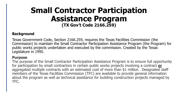## **Small Contractor Participation Assistance Program (TX Gov't Code 2166.259)**

#### **Background**

Texas Government Code, Section 2166.259, requires the Texas Facilities Commission (the Commission) to maintain the Small Contractor Participation Assistance Program (the Program) for public works projects undertaken and executed by the commission. Created by the Texas Legislature in 1995.

#### **Purpose**

The purpose of the Small Contractor Participation Assistance Program is to ensure full opportunity for participation by small contractors in certain public works projects involving a contract **or** aggregated multiple contracts with an estimated cost of more than \$1 million. Designated staff members of the Texas Facilities Commission (TFC) are available to provide general information about the program as well as technical assistance for building construction projects managed by TFC.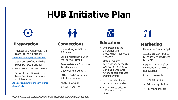# **HUB Initiative Plan**



### **Preparation**

• Register as a vendor with the Texas State Comptroller

<https://comptroller.texas.gov/purchasing/vendor/>

- Get HUB certified with the Texas State Comptroller (Administrator of the State-wide program)
- Request a meeting with the Texas Facilities Commission HUB Program

[http://tfc.state.tx.us/divisions/commissionad](http://tfc.state.tx.us/divisions/commissionadmin/prog/HUB/) min/prog/HUB/



## **Connections**

- Networking with State & Primes
- Build a relationship with the State & Primes
- Seek assistance from the Small Business Development Centers
- Attend Bid Conference & Industry related
- Meet & Greets
- RELATIONSHIPS



## **Education**

- Understanding the different State procurement methods & processes
- Obtain required certifications needed to work with TFC (OSHA, Bonding& Insurance) Attend special business training events
- Know your business capacity when bidding
- Know how to price in different markets& cities



## **Marketing**

- Have your Elevator Spill
- Attend Bid Conference & Industry related Meet & Greets
- Requests a debrief of solicitation that were not awarded
- Do your research
	- Opportunities
	- Prime's reputation
	- Payment process

HUB is not a set-aside program & All contracts are competitively bid.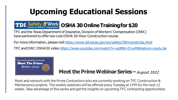# **Upcoming Educational Sessions**



## **Safety @ Work CSHA 30 Online Training for \$20**

TFC and the Texas Department of Insurance, Division of Workers' Compensation (DWC) have partnered to offer low-cost OSHA 30-Hour Construction course.

For more information, please visit [https://www.tdi.texas.gov/wc/safety/30hrconstrclas.html](http://www.tdi.texas.gov/wc/safety/30hrconstrclas.html)

TFC and DWC OSHA30 video [https://www.youtube.com/watch?v=az8NU-01vyM&feature=youtu.be](http://www.youtube.com/watch?v=az8NU-01vyM&feature=youtu.be)



## **Meet the Prime Webinar Series – August 2022**

Meet and network with the Prime Contractors who are currently working on TFC Construction & Maintenance projects. The weekly webinars will be offered every Tuesday at 1PM for the next 12 weeks. Take advantage of this series and get the insights on upcoming TFC contracting opportunities.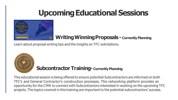# **Upcoming Educational Sessions**



## **Writing Winning Proposals - Currently Planning**

Learn about proposal writing tips and the insights on TFC solicitations.



## **Subcontractor Training-Currently Planning**

This educational session is being offered to ensure potential Subcontractors are informed on both TFC's and General Contractor's construction processes. This networking platform provides an opportunity for the CMR to connect with Subcontractors interested in working on the upcoming TFC projects. The topics covered in this training are important to the potential subcontractors' success.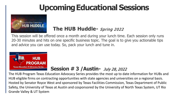# **Upcoming Educational Sessions**



## **The HUB Huddle-** Spring 2022

This session will be offered once a month and during your lunch time. Each session only runs 20-30 minutes and hits on one specific business topic. The goal is to give you actionable tips and advice you can use today. So, pack your lunch and tune in.



## **Session # 3 /Austin-** July 28, 2022

The HUB Program Texas Education Advocacy Series provides the most up to date information for HUBs and HUB eligible firms on contracting opportunities with state agencies and universities on a regional basis. Hosted by Senator Royce West and sponsored by Texas Facilities Commission, Texas Department of Public Safety, the University of Texas at Austin and cosponsored by the University of North Texas System, UT Rio Grande Valley & UT System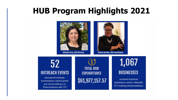## **HUB Program Highlights 2021**

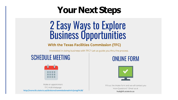# **Your Next Steps**

# 2 Easy Ways to Explore<br>Business Opportunities

#### **With the Texas Facilities Commission (TFC)**

Interested in doing business with TFC? Let us guide you thru the process.

## **SCHEDULE MEETING**





Make an appointment TFC HUB Webpage http://www.tfc.state.tx.us/divisions/commissionadmin/prog/HUB/



Fill out the Intake form and we will contact you More Questions? Email us at hub@tfc.state.tx.us